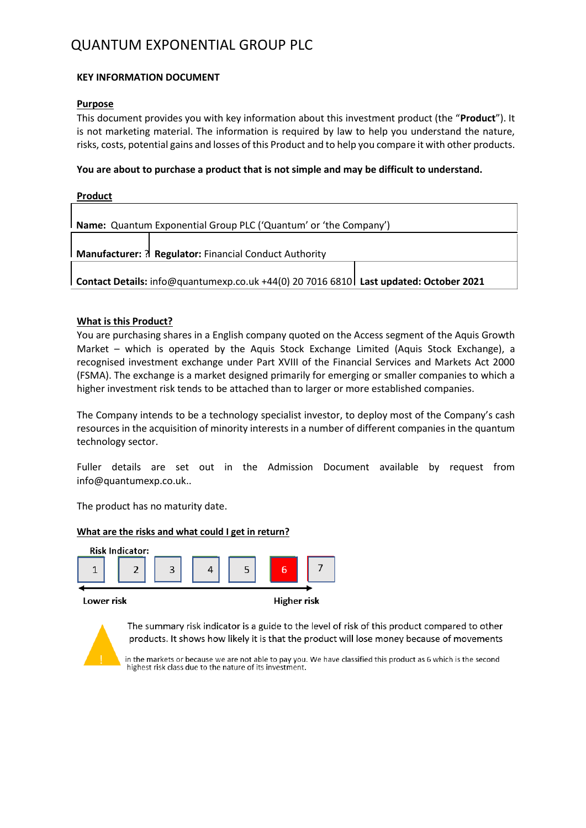## QUANTUM EXPONENTIAL GROUP PLC

#### **KEY INFORMATION DOCUMENT**

#### **Purpose**

This document provides you with key information about this investment product (the "**Product**"). It is not marketing material. The information is required by law to help you understand the nature, risks, costs, potential gains and losses of this Product and to help you compare it with other products.

#### **You are about to purchase a product that is not simple and may be difficult to understand.**

| <b>Product</b>                                                                        |  |  |  |  |
|---------------------------------------------------------------------------------------|--|--|--|--|
|                                                                                       |  |  |  |  |
| <b>Name:</b> Quantum Exponential Group PLC ('Quantum' or 'the Company')               |  |  |  |  |
|                                                                                       |  |  |  |  |
| <b>Manufacturer: ? Regulator: Financial Conduct Authority</b>                         |  |  |  |  |
|                                                                                       |  |  |  |  |
| Contact Details: info@quantumexp.co.uk +44(0) 20 7016 6810 Last updated: October 2021 |  |  |  |  |
|                                                                                       |  |  |  |  |

#### **What is this Product?**

You are purchasing shares in a English company quoted on the Access segment of the Aquis Growth Market – which is operated by the Aquis Stock Exchange Limited (Aquis Stock Exchange), a recognised investment exchange under Part XVIII of the Financial Services and Markets Act 2000 (FSMA). The exchange is a market designed primarily for emerging or smaller companies to which a higher investment risk tends to be attached than to larger or more established companies.

The Company intends to be a technology specialist investor, to deploy most of the Company's cash resources in the acquisition of minority interests in a number of different companies in the quantum technology sector.

Fuller details are set out in the Admission Document available by request from [info@quantumexp.co.uk.](mailto:info@quantumexp.co.uk).

The product has no maturity date.

#### **What are the risks and what could I get in return?**



Lower risk

**Higher risk** 



The summary risk indicator is a guide to the level of risk of this product compared to other products. It shows how likely it is that the product will lose money because of movements

in the markets or because we are not able to pay you. We have classified this product as 6 which is the second highest risk class due to the nature of its investment.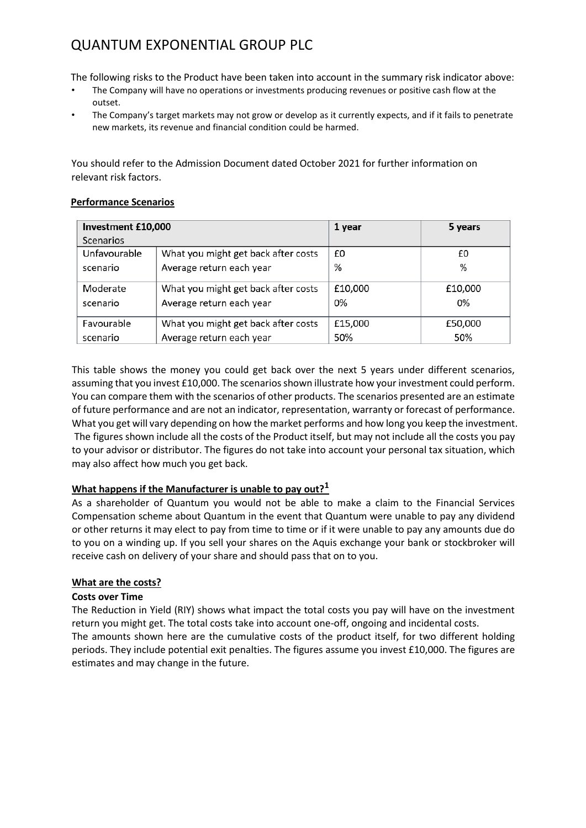# QUANTUM EXPONENTIAL GROUP PLC

The following risks to the Product have been taken into account in the summary risk indicator above:

- The Company will have no operations or investments producing revenues or positive cash flow at the outset.
- The Company's target markets may not grow or develop as it currently expects, and if it fails to penetrate new markets, its revenue and financial condition could be harmed.

You should refer to the Admission Document dated October 2021 for further information on relevant risk factors.

#### **Performance Scenarios**

| Investment £10,000 |                                     | 1 year  | 5 years |
|--------------------|-------------------------------------|---------|---------|
| Scenarios          |                                     |         |         |
| Unfavourable       | What you might get back after costs | £0      | £0      |
| scenario           | Average return each year            | %       | %       |
| Moderate           | What you might get back after costs | £10,000 | £10,000 |
| scenario           | Average return each year            | 0%      | 0%      |
| Favourable         | What you might get back after costs | £15,000 | £50,000 |
| scenario           | Average return each year            |         | 50%     |

This table shows the money you could get back over the next 5 years under different scenarios, assuming that you invest £10,000. The scenarios shown illustrate how your investment could perform. You can compare them with the scenarios of other products. The scenarios presented are an estimate of future performance and are not an indicator, representation, warranty or forecast of performance. What you get will vary depending on how the market performs and how long you keep the investment. The figures shown include all the costs of the Product itself, but may not include all the costs you pay to your advisor or distributor. The figures do not take into account your personal tax situation, which may also affect how much you get back.

## **What happens if the Manufacturer is unable to pay out?<sup>1</sup>**

As a shareholder of Quantum you would not be able to make a claim to the Financial Services Compensation scheme about Quantum in the event that Quantum were unable to pay any dividend or other returns it may elect to pay from time to time or if it were unable to pay any amounts due do to you on a winding up. If you sell your shares on the Aquis exchange your bank or stockbroker will receive cash on delivery of your share and should pass that on to you.

## **What are the costs?**

## **Costs over Time**

The Reduction in Yield (RIY) shows what impact the total costs you pay will have on the investment return you might get. The total costs take into account one-off, ongoing and incidental costs.

The amounts shown here are the cumulative costs of the product itself, for two different holding periods. They include potential exit penalties. The figures assume you invest £10,000. The figures are estimates and may change in the future.